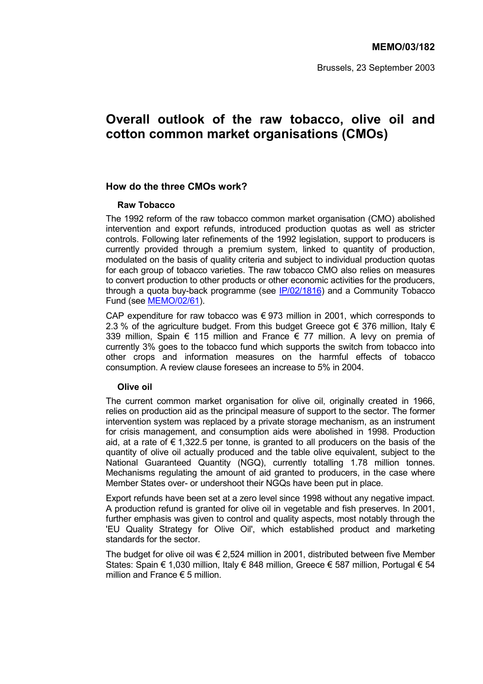Brussels, 23 September 2003

# **Overall outlook of the raw tobacco, olive oil and cotton common market organisations (CMOs)**

#### **How do the three CMOs work?**

#### **Raw Tobacco**

The 1992 reform of the raw tobacco common market organisation (CMO) abolished intervention and export refunds, introduced production quotas as well as stricter controls. Following later refinements of the 1992 legislation, support to producers is currently provided through a premium system, linked to quantity of production, modulated on the basis of quality criteria and subject to individual production quotas for each group of tobacco varieties. The raw tobacco CMO also relies on measures to convert production to other products or other economic activities for the producers, through a quota buy-back programme (see IP/02/1816) and a Community Tobacco Fund (see MEMO/02/61).

CAP expenditure for raw tobacco was  $\epsilon$  973 million in 2001, which corresponds to 2.3 % of the agriculture budget. From this budget Greece got  $\epsilon$  376 million, Italy  $\epsilon$ 339 million, Spain  $\epsilon$  115 million and France  $\epsilon$  77 million. A levy on premia of currently 3% goes to the tobacco fund which supports the switch from tobacco into other crops and information measures on the harmful effects of tobacco consumption. A review clause foresees an increase to 5% in 2004.

#### **Olive oil**

The current common market organisation for olive oil, originally created in 1966, relies on production aid as the principal measure of support to the sector. The former intervention system was replaced by a private storage mechanism, as an instrument for crisis management, and consumption aids were abolished in 1998. Production aid, at a rate of  $\epsilon$  1,322.5 per tonne, is granted to all producers on the basis of the quantity of olive oil actually produced and the table olive equivalent, subject to the National Guaranteed Quantity (NGQ), currently totalling 1.78 million tonnes. Mechanisms regulating the amount of aid granted to producers, in the case where Member States over- or undershoot their NGQs have been put in place.

Export refunds have been set at a zero level since 1998 without any negative impact. A production refund is granted for olive oil in vegetable and fish preserves. In 2001, further emphasis was given to control and quality aspects, most notably through the 'EU Quality Strategy for Olive Oil', which established product and marketing standards for the sector.

The budget for olive oil was  $\epsilon$  2.524 million in 2001, distributed between five Member States: Spain  $\epsilon$  1.030 million, Italy  $\epsilon$  848 million, Greece  $\epsilon$  587 million, Portugal  $\epsilon$  54 million and France  $\epsilon$  5 million.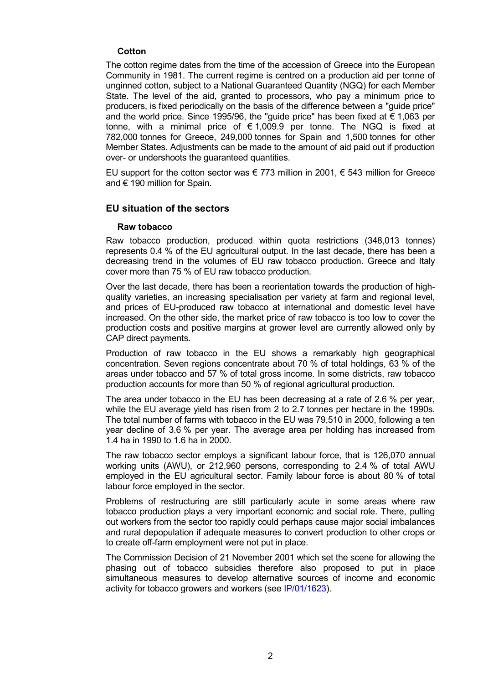#### **Cotton**

The cotton regime dates from the time of the accession of Greece into the European Community in 1981. The current regime is centred on a production aid per tonne of unginned cotton, subject to a National Guaranteed Quantity (NGQ) for each Member State. The level of the aid, granted to processors, who pay a minimum price to producers, is fixed periodically on the basis of the difference between a "guide price" and the world price. Since 1995/96, the "guide price" has been fixed at  $\epsilon$  1,063 per tonne, with a minimal price of  $\epsilon$  1,009.9 per tonne. The NGQ is fixed at 782,000 tonnes for Greece, 249,000 tonnes for Spain and 1,500 tonnes for other Member States. Adjustments can be made to the amount of aid paid out if production over- or undershoots the guaranteed quantities.

EU support for the cotton sector was  $\epsilon$  773 million in 2001,  $\epsilon$  543 million for Greece and  $\in$  190 million for Spain.

## **EU situation of the sectors**

#### **Raw tobacco**

Raw tobacco production, produced within quota restrictions (348,013 tonnes) represents 0.4 % of the EU agricultural output. In the last decade, there has been a decreasing trend in the volumes of EU raw tobacco production. Greece and Italy cover more than 75 % of EU raw tobacco production.

Over the last decade, there has been a reorientation towards the production of highquality varieties, an increasing specialisation per variety at farm and regional level, and prices of EU-produced raw tobacco at international and domestic level have increased. On the other side, the market price of raw tobacco is too low to cover the production costs and positive margins at grower level are currently allowed only by CAP direct payments.

Production of raw tobacco in the EU shows a remarkably high geographical concentration. Seven regions concentrate about 70 % of total holdings, 63 % of the areas under tobacco and 57 % of total gross income. In some districts, raw tobacco production accounts for more than 50 % of regional agricultural production.

The area under tobacco in the EU has been decreasing at a rate of 2.6 % per year, while the EU average yield has risen from 2 to 2.7 tonnes per hectare in the 1990s. The total number of farms with tobacco in the EU was 79,510 in 2000, following a ten year decline of 3.6 % per year. The average area per holding has increased from 1.4 ha in 1990 to 1.6 ha in 2000.

The raw tobacco sector employs a significant labour force, that is 126,070 annual working units (AWU), or 212,960 persons, corresponding to 2.4 % of total AWU employed in the EU agricultural sector. Family labour force is about 80 % of total labour force employed in the sector.

Problems of restructuring are still particularly acute in some areas where raw tobacco production plays a very important economic and social role. There, pulling out workers from the sector too rapidly could perhaps cause major social imbalances and rural depopulation if adequate measures to convert production to other crops or to create off-farm employment were not put in place.

The Commission Decision of 21 November 2001 which set the scene for allowing the phasing out of tobacco subsidies therefore also proposed to put in place simultaneous measures to develop alternative sources of income and economic activity for tobacco growers and workers (see IP/01/1623).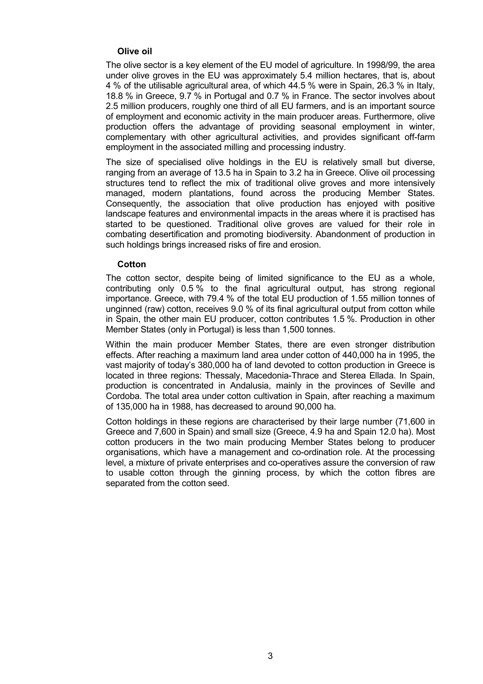#### **Olive oil**

The olive sector is a key element of the EU model of agriculture. In 1998/99, the area under olive groves in the EU was approximately 5.4 million hectares, that is, about 4 % of the utilisable agricultural area, of which 44.5 % were in Spain, 26.3 % in Italy, 18.8 % in Greece, 9.7 % in Portugal and 0.7 % in France. The sector involves about 2.5 million producers, roughly one third of all EU farmers, and is an important source of employment and economic activity in the main producer areas. Furthermore, olive production offers the advantage of providing seasonal employment in winter, complementary with other agricultural activities, and provides significant off-farm employment in the associated milling and processing industry.

The size of specialised olive holdings in the EU is relatively small but diverse, ranging from an average of 13.5 ha in Spain to 3.2 ha in Greece. Olive oil processing structures tend to reflect the mix of traditional olive groves and more intensively managed, modern plantations, found across the producing Member States. Consequently, the association that olive production has enjoyed with positive landscape features and environmental impacts in the areas where it is practised has started to be questioned. Traditional olive groves are valued for their role in combating desertification and promoting biodiversity. Abandonment of production in such holdings brings increased risks of fire and erosion.

#### **Cotton**

The cotton sector, despite being of limited significance to the EU as a whole, contributing only 0.5 % to the final agricultural output, has strong regional importance. Greece, with 79.4 % of the total EU production of 1.55 million tonnes of unginned (raw) cotton, receives 9.0 % of its final agricultural output from cotton while in Spain, the other main EU producer, cotton contributes 1.5 %. Production in other Member States (only in Portugal) is less than 1,500 tonnes.

Within the main producer Member States, there are even stronger distribution effects. After reaching a maximum land area under cotton of 440,000 ha in 1995, the vast majority of todayís 380,000 ha of land devoted to cotton production in Greece is located in three regions: Thessaly, Macedonia-Thrace and Sterea Ellada. In Spain, production is concentrated in Andalusia, mainly in the provinces of Seville and Cordoba. The total area under cotton cultivation in Spain, after reaching a maximum of 135,000 ha in 1988, has decreased to around 90,000 ha.

Cotton holdings in these regions are characterised by their large number (71,600 in Greece and 7,600 in Spain) and small size (Greece, 4.9 ha and Spain 12.0 ha). Most cotton producers in the two main producing Member States belong to producer organisations, which have a management and co-ordination role. At the processing level, a mixture of private enterprises and co-operatives assure the conversion of raw to usable cotton through the ginning process, by which the cotton fibres are separated from the cotton seed.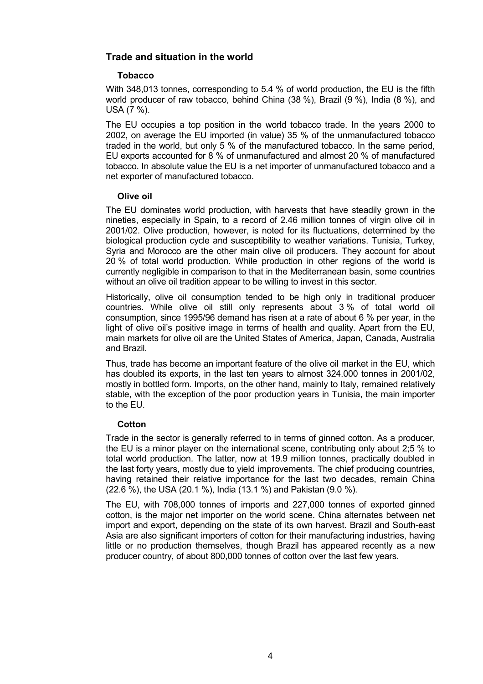# **Trade and situation in the world**

#### **Tobacco**

With 348,013 tonnes, corresponding to 5.4 % of world production, the EU is the fifth world producer of raw tobacco, behind China (38 %), Brazil (9 %), India (8 %), and USA (7 %).

The EU occupies a top position in the world tobacco trade. In the years 2000 to 2002, on average the EU imported (in value) 35 % of the unmanufactured tobacco traded in the world, but only 5 % of the manufactured tobacco. In the same period, EU exports accounted for 8 % of unmanufactured and almost 20 % of manufactured tobacco. In absolute value the EU is a net importer of unmanufactured tobacco and a net exporter of manufactured tobacco.

#### **Olive oil**

The EU dominates world production, with harvests that have steadily grown in the nineties, especially in Spain, to a record of 2.46 million tonnes of virgin olive oil in 2001/02. Olive production, however, is noted for its fluctuations, determined by the biological production cycle and susceptibility to weather variations. Tunisia, Turkey, Syria and Morocco are the other main olive oil producers. They account for about 20 % of total world production. While production in other regions of the world is currently negligible in comparison to that in the Mediterranean basin, some countries without an olive oil tradition appear to be willing to invest in this sector.

Historically, olive oil consumption tended to be high only in traditional producer countries. While olive oil still only represents about 3 % of total world oil consumption, since 1995/96 demand has risen at a rate of about 6 % per year, in the light of olive oilís positive image in terms of health and quality. Apart from the EU, main markets for olive oil are the United States of America, Japan, Canada, Australia and Brazil.

Thus, trade has become an important feature of the olive oil market in the EU, which has doubled its exports, in the last ten years to almost 324.000 tonnes in 2001/02, mostly in bottled form. Imports, on the other hand, mainly to Italy, remained relatively stable, with the exception of the poor production years in Tunisia, the main importer to the EU.

#### **Cotton**

Trade in the sector is generally referred to in terms of ginned cotton. As a producer, the EU is a minor player on the international scene, contributing only about 2;5 % to total world production. The latter, now at 19.9 million tonnes, practically doubled in the last forty years, mostly due to yield improvements. The chief producing countries, having retained their relative importance for the last two decades, remain China (22.6 %), the USA (20.1 %), India (13.1 %) and Pakistan (9.0 %).

The EU, with 708,000 tonnes of imports and 227,000 tonnes of exported ginned cotton, is the major net importer on the world scene. China alternates between net import and export, depending on the state of its own harvest. Brazil and South-east Asia are also significant importers of cotton for their manufacturing industries, having little or no production themselves, though Brazil has appeared recently as a new producer country, of about 800,000 tonnes of cotton over the last few years.